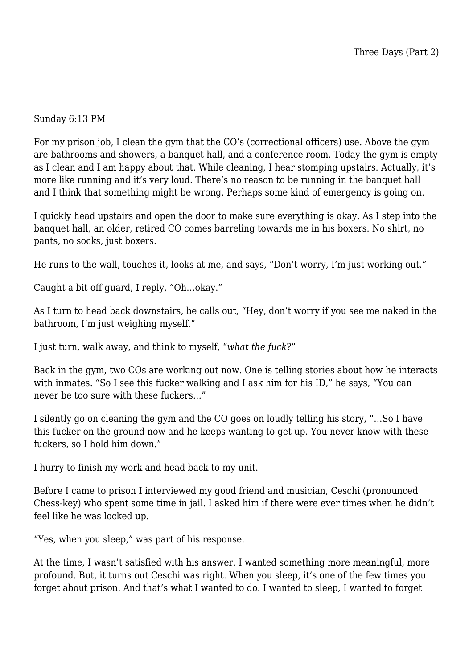## Sunday 6:13 PM

For my prison job, I clean the gym that the CO's (correctional officers) use. Above the gym are bathrooms and showers, a banquet hall, and a conference room. Today the gym is empty as I clean and I am happy about that. While cleaning, I hear stomping upstairs. Actually, it's more like running and it's very loud. There's no reason to be running in the banquet hall and I think that something might be wrong. Perhaps some kind of emergency is going on.

I quickly head upstairs and open the door to make sure everything is okay. As I step into the banquet hall, an older, retired CO comes barreling towards me in his boxers. No shirt, no pants, no socks, just boxers.

He runs to the wall, touches it, looks at me, and says, "Don't worry, I'm just working out."

Caught a bit off guard, I reply, "Oh…okay."

As I turn to head back downstairs, he calls out, "Hey, don't worry if you see me naked in the bathroom, I'm just weighing myself."

I just turn, walk away, and think to myself, "*what the fuck*?"

Back in the gym, two COs are working out now. One is telling stories about how he interacts with inmates. "So I see this fucker walking and I ask him for his ID," he says, "You can never be too sure with these fuckers…"

I silently go on cleaning the gym and the CO goes on loudly telling his story, "…So I have this fucker on the ground now and he keeps wanting to get up. You never know with these fuckers, so I hold him down."

I hurry to finish my work and head back to my unit.

Before I came to prison I interviewed my good friend and musician, Ceschi (pronounced Chess-key) who spent some time in jail. I asked him if there were ever times when he didn't feel like he was locked up.

"Yes, when you sleep," was part of his response.

At the time, I wasn't satisfied with his answer. I wanted something more meaningful, more profound. But, it turns out Ceschi was right. When you sleep, it's one of the few times you forget about prison. And that's what I wanted to do. I wanted to sleep, I wanted to forget